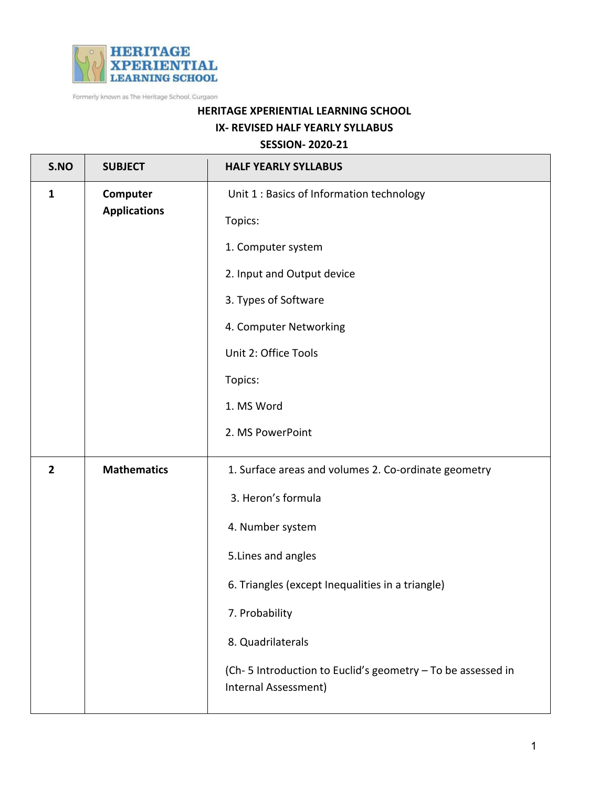

Formerly known as The Heritage School, Gurgaon

## **HERITAGE XPERIENTIAL LEARNING SCHOOL**

## **IX- REVISED HALF YEARLY SYLLABUS**

## **SESSION- 2020-21**

| S.NO           | <b>SUBJECT</b>                  | <b>HALF YEARLY SYLLABUS</b>                                                         |
|----------------|---------------------------------|-------------------------------------------------------------------------------------|
| $\mathbf{1}$   | Computer<br><b>Applications</b> | Unit 1 : Basics of Information technology                                           |
|                |                                 | Topics:                                                                             |
|                |                                 | 1. Computer system                                                                  |
|                |                                 | 2. Input and Output device                                                          |
|                |                                 | 3. Types of Software                                                                |
|                |                                 | 4. Computer Networking                                                              |
|                |                                 | Unit 2: Office Tools                                                                |
|                |                                 | Topics:                                                                             |
|                |                                 | 1. MS Word                                                                          |
|                |                                 | 2. MS PowerPoint                                                                    |
| $\overline{2}$ | <b>Mathematics</b>              | 1. Surface areas and volumes 2. Co-ordinate geometry                                |
|                |                                 | 3. Heron's formula                                                                  |
|                |                                 | 4. Number system                                                                    |
|                |                                 | 5. Lines and angles                                                                 |
|                |                                 | 6. Triangles (except Inequalities in a triangle)                                    |
|                |                                 | 7. Probability                                                                      |
|                |                                 | 8. Quadrilaterals                                                                   |
|                |                                 | (Ch-5 Introduction to Euclid's geometry - To be assessed in<br>Internal Assessment) |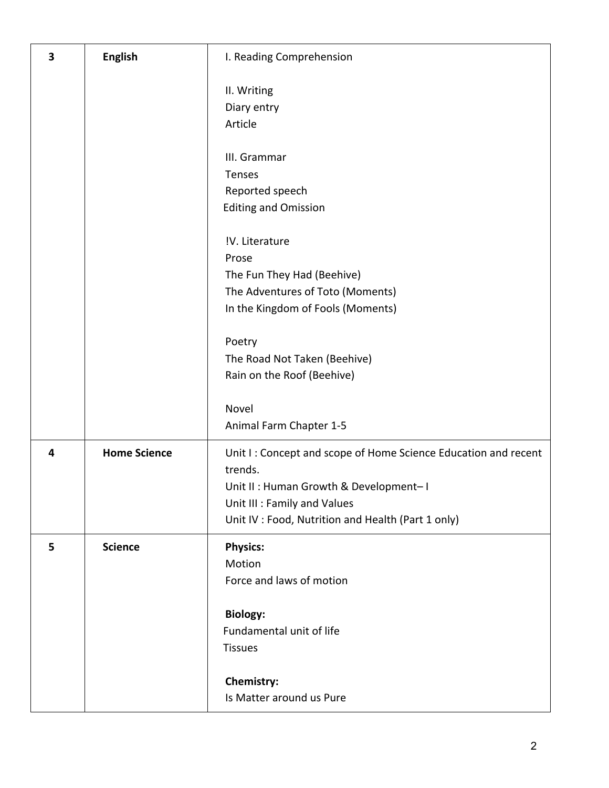| 3 | <b>English</b>      | I. Reading Comprehension                                                                                                                                                                                 |
|---|---------------------|----------------------------------------------------------------------------------------------------------------------------------------------------------------------------------------------------------|
|   |                     | II. Writing<br>Diary entry<br>Article                                                                                                                                                                    |
|   |                     | III. Grammar<br><b>Tenses</b><br>Reported speech<br><b>Editing and Omission</b>                                                                                                                          |
|   |                     | !V. Literature<br>Prose<br>The Fun They Had (Beehive)<br>The Adventures of Toto (Moments)<br>In the Kingdom of Fools (Moments)                                                                           |
|   |                     | Poetry<br>The Road Not Taken (Beehive)<br>Rain on the Roof (Beehive)                                                                                                                                     |
|   |                     | Novel<br>Animal Farm Chapter 1-5                                                                                                                                                                         |
| 4 | <b>Home Science</b> | Unit I: Concept and scope of Home Science Education and recent<br>trends.<br>Unit II: Human Growth & Development-I<br>Unit III : Family and Values<br>Unit IV : Food, Nutrition and Health (Part 1 only) |
| 5 | <b>Science</b>      | <b>Physics:</b><br>Motion<br>Force and laws of motion<br><b>Biology:</b>                                                                                                                                 |
|   |                     | Fundamental unit of life<br><b>Tissues</b>                                                                                                                                                               |
|   |                     | Chemistry:<br>Is Matter around us Pure                                                                                                                                                                   |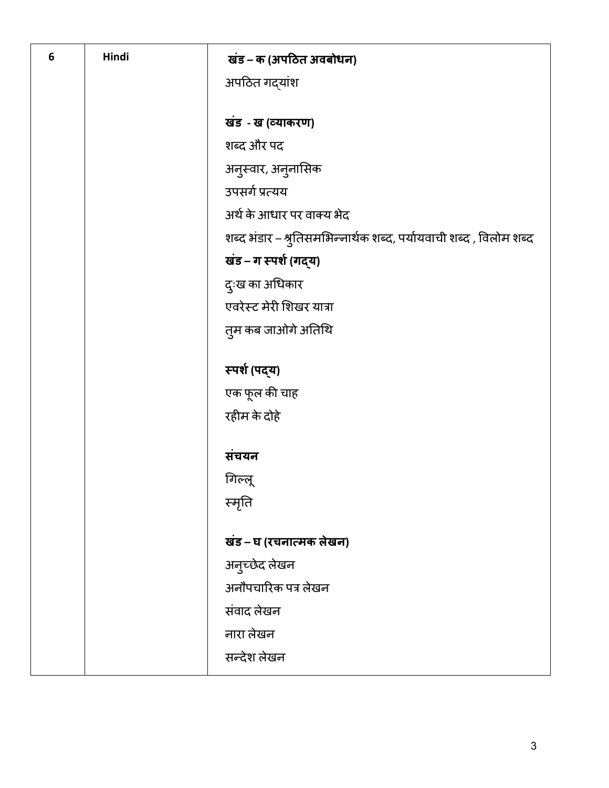| 6 | Hindi | खंड – क (अपठित अवबोधन)                                             |
|---|-------|--------------------------------------------------------------------|
|   |       | अपठित गद्यांश                                                      |
|   |       |                                                                    |
|   |       | खंड - ख (व्याकरण)                                                  |
|   |       | शब्द और पद                                                         |
|   |       | अनुस्वार, अनुनासिक                                                 |
|   |       | उपसर्ग प्रत्यय                                                     |
|   |       | अर्थ के आधार पर वाक्य भेद                                          |
|   |       | शब्द भंडार – श्रुतिसमभिन्नार्थक शब्द, पर्यायवाची शब्द , विलोम शब्द |
|   |       | खंड – ग स्पर्श (गद्य)                                              |
|   |       | दुःख का अधिकार                                                     |
|   |       | एवरेस्ट मेरी शिखर यात्रा                                           |
|   |       | तुम कब जाओगे अतिथि                                                 |
|   |       | स्पर्श (पद्य)                                                      |
|   |       | एक फूल की चाह                                                      |
|   |       | रहीम के दोहे                                                       |
|   |       |                                                                    |
|   |       | संचयन                                                              |
|   |       | गिल्लू                                                             |
|   |       | स्मृति                                                             |
|   |       |                                                                    |
|   |       | खंड – घ (रचनात्मक लेखन)                                            |
|   |       | अनुच्छेद लेखन                                                      |
|   |       | अनौपचारिक पत्र लेखन                                                |
|   |       | संवाद लेखन                                                         |
|   |       | नारा लेखन                                                          |
|   |       | सन्देश लेखन                                                        |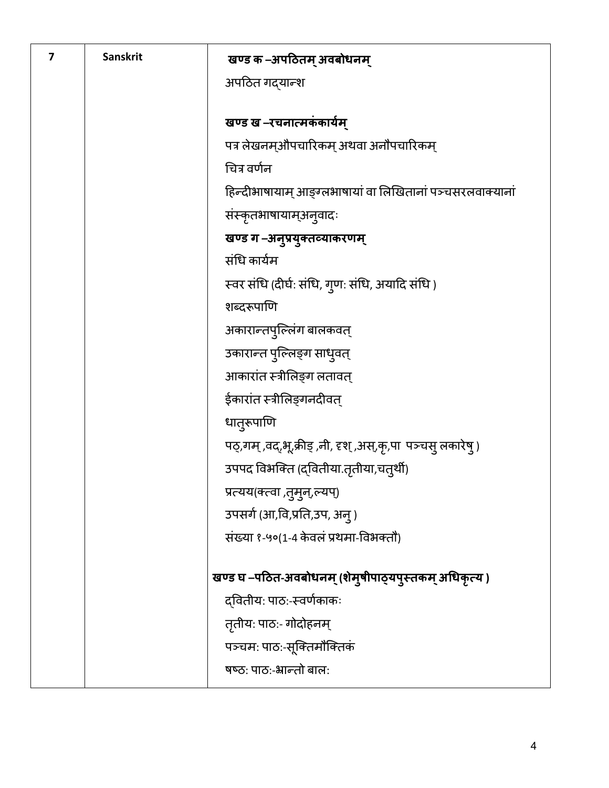| 7 | <b>Sanskrit</b> | खण्ड क –अपठितम् अवबोधनम्                                     |
|---|-----------------|--------------------------------------------------------------|
|   |                 | अपठित गद्यान्श                                               |
|   |                 |                                                              |
|   |                 | खण्ड ख –रचनात्मकंकार्यम्                                     |
|   |                 | पत्र लेखनम्औपचारिकम् अथवा अनौपचारिकम्                        |
|   |                 | चित्र वर्णन                                                  |
|   |                 | हिन्दीभाषायाम् आङ्ग्लभाषायां वा लिखितानां पञ्चसरलवाक्यानां   |
|   |                 | संस्कृतभाषायाम्अन् वादः                                      |
|   |                 | खण्ड ग-अनुप्रयुक्तव्याकरणम्                                  |
|   |                 | संधि कार्यम                                                  |
|   |                 | स्वर संधि (दीर्घ: संधि, गुण: संधि, अयादि संधि)               |
|   |                 | शब्दरूपाणि                                                   |
|   |                 | अकारान्तपुल्लिंग बालकवत्                                     |
|   |                 | उकारान्त पुल्लिङ्ग साधुवत्                                   |
|   |                 | आकारांत स्त्रीलिङ्ग लतावत्                                   |
|   |                 | ईकारांत स्त्रीलिङ्गनदीवत्                                    |
|   |                 | धात्रूपाणि                                                   |
|   |                 | पठ्,गम् ,वद्,भू,क्रीड् ,नी, दृश् ,अस्,कृ,पा पञ्चसु लकारेष् ) |
|   |                 | उपपद विभक्ति (द्वितीया.तृतीया,चत्थी)                         |
|   |                 | प्रत्यय(क्त्वा ,तुमुन्,ल्यप्)                                |
|   |                 | उपसर्ग (आ,वि,प्रति,उप, अन्)                                  |
|   |                 | संख्या १-५०(1-4 केवलं प्रथमा-विभक्तौ)                        |
|   |                 |                                                              |
|   |                 | खण्ड घ –पठित-अवबोधनम् (शेमुषीपाठ्यपुस्तकम् अधिकृत्य )        |
|   |                 | द्वितीयः पाठः-स्वर्णकाकः                                     |
|   |                 | तृतीय: पाठ:- गोदोहनम्                                        |
|   |                 | पञ्चमः पाठः-सूक्तिमौक्तिकं                                   |
|   |                 | षष्ठ: पाठ:-भ्रान्तो बाल:                                     |